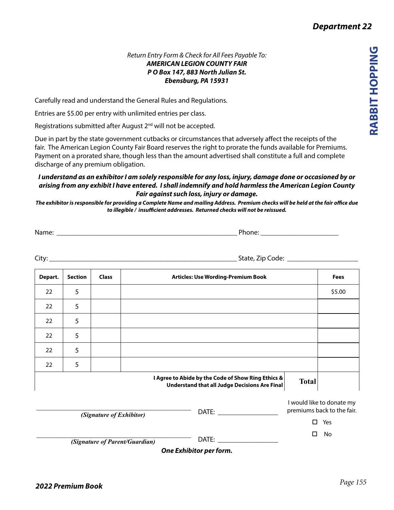*Department 22*

## *Return Entry Form & Check for All Fees Payable To: AMERICAN LEGION COUNTY FAIR P O Box 147, 883 North Julian St. Ebensburg, PA 15931*

Carefully read and understand the General Rules and Regulations.

Entries are \$5.00 per entry with unlimited entries per class.

Registrations submitted after August 2<sup>nd</sup> will not be accepted.

Due in part by the state government cutbacks or circumstances that adversely affect the receipts of the fair. The American Legion County Fair Board reserves the right to prorate the funds available for Premiums. Payment on a prorated share, though less than the amount advertised shall constitute a full and complete discharge of any premium obligation.

## *I understand as an exhibitor I am solely responsible for any loss, injury, damage done or occasioned by or arising from any exhibit I have entered. I shall indemnify and hold harmless the American Legion County Fair against such loss, injury or damage.*

*The exhibitor is responsible for providing a Complete Name and mailing Address. Premium checks will be held at the fair office due to illegible / insufficient addresses. Returned checks will not be reissued.*

| Name<br>______<br>_________________<br>___________________ |
|------------------------------------------------------------|
|------------------------------------------------------------|

City: \_\_\_\_\_\_\_\_\_\_\_\_\_\_\_\_\_\_\_\_\_\_\_\_\_\_\_\_\_\_\_\_\_\_\_\_\_\_\_\_\_\_\_\_\_\_\_\_\_\_\_\_\_ State, Zip Code: \_\_\_\_\_\_\_\_\_\_\_\_\_\_\_\_\_\_\_\_

| Depart.                                                                                                             | <b>Class</b><br><b>Articles: Use Wording-Premium Book</b><br><b>Section</b> |                          |  |                                                                                                                                                                                                                               | <b>Fees</b>                                             |        |
|---------------------------------------------------------------------------------------------------------------------|-----------------------------------------------------------------------------|--------------------------|--|-------------------------------------------------------------------------------------------------------------------------------------------------------------------------------------------------------------------------------|---------------------------------------------------------|--------|
| 22                                                                                                                  | 5                                                                           |                          |  |                                                                                                                                                                                                                               |                                                         | \$5.00 |
| 22                                                                                                                  | 5                                                                           |                          |  |                                                                                                                                                                                                                               |                                                         |        |
| 22                                                                                                                  | 5                                                                           |                          |  |                                                                                                                                                                                                                               |                                                         |        |
| 22                                                                                                                  | 5                                                                           |                          |  |                                                                                                                                                                                                                               |                                                         |        |
| 22                                                                                                                  | 5                                                                           |                          |  |                                                                                                                                                                                                                               |                                                         |        |
| 22                                                                                                                  | 5                                                                           |                          |  |                                                                                                                                                                                                                               |                                                         |        |
| I Agree to Abide by the Code of Show Ring Ethics &<br><b>Total</b><br>Understand that all Judge Decisions Are Final |                                                                             |                          |  |                                                                                                                                                                                                                               |                                                         |        |
|                                                                                                                     |                                                                             | (Signature of Exhibitor) |  | DATE: _______                                                                                                                                                                                                                 | I would like to donate my<br>premiums back to the fair. |        |
|                                                                                                                     |                                                                             |                          |  |                                                                                                                                                                                                                               | П.                                                      | Yes    |
| (Signature of Parent/Guardian)                                                                                      |                                                                             |                          |  | DATE: and the state of the state of the state of the state of the state of the state of the state of the state of the state of the state of the state of the state of the state of the state of the state of the state of the | □                                                       | No     |

*One Exhibitor per form.*